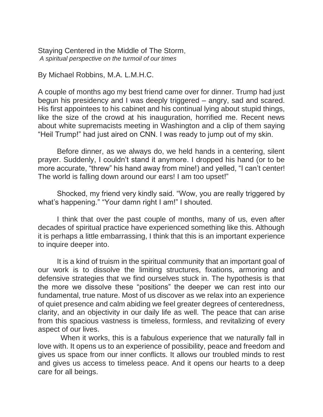Staying Centered in the Middle of The Storm, *A spiritual perspective on the turmoil of our times*

By Michael Robbins, M.A. L.M.H.C.

A couple of months ago my best friend came over for dinner. Trump had just begun his presidency and I was deeply triggered – angry, sad and scared. His first appointees to his cabinet and his continual lying about stupid things, like the size of the crowd at his inauguration, horrified me. Recent news about white supremacists meeting in Washington and a clip of them saying "Heil Trump!" had just aired on CNN. I was ready to jump out of my skin.

Before dinner, as we always do, we held hands in a centering, silent prayer. Suddenly, I couldn't stand it anymore. I dropped his hand (or to be more accurate, "threw" his hand away from mine!) and yelled, "I can't center! The world is falling down around our ears! I am too upset!"

Shocked, my friend very kindly said. "Wow, you are really triggered by what's happening." "Your damn right I am!" I shouted.

I think that over the past couple of months, many of us, even after decades of spiritual practice have experienced something like this. Although it is perhaps a little embarrassing, I think that this is an important experience to inquire deeper into.

It is a kind of truism in the spiritual community that an important goal of our work is to dissolve the limiting structures, fixations, armoring and defensive strategies that we find ourselves stuck in. The hypothesis is that the more we dissolve these "positions" the deeper we can rest into our fundamental, true nature. Most of us discover as we relax into an experience of quiet presence and calm abiding we feel greater degrees of centeredness, clarity, and an objectivity in our daily life as well. The peace that can arise from this spacious vastness is timeless, formless, and revitalizing of every aspect of our lives.

 When it works, this is a fabulous experience that we naturally fall in love with. It opens us to an experience of possibility, peace and freedom and gives us space from our inner conflicts. It allows our troubled minds to rest and gives us access to timeless peace. And it opens our hearts to a deep care for all beings.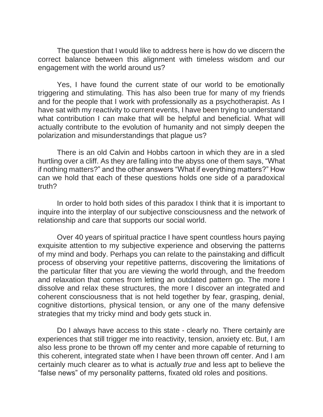The question that I would like to address here is how do we discern the correct balance between this alignment with timeless wisdom and our engagement with the world around us?

Yes, I have found the current state of our world to be emotionally triggering and stimulating. This has also been true for many of my friends and for the people that I work with professionally as a psychotherapist. As I have sat with my reactivity to current events, I have been trying to understand what contribution I can make that will be helpful and beneficial. What will actually contribute to the evolution of humanity and not simply deepen the polarization and misunderstandings that plague us?

There is an old Calvin and Hobbs cartoon in which they are in a sled hurtling over a cliff. As they are falling into the abyss one of them says, "What if nothing matters?" and the other answers "What if everything matters?" How can we hold that each of these questions holds one side of a paradoxical truth?

In order to hold both sides of this paradox I think that it is important to inquire into the interplay of our subjective consciousness and the network of relationship and care that supports our social world.

Over 40 years of spiritual practice I have spent countless hours paying exquisite attention to my subjective experience and observing the patterns of my mind and body. Perhaps you can relate to the painstaking and difficult process of observing your repetitive patterns, discovering the limitations of the particular filter that you are viewing the world through, and the freedom and relaxation that comes from letting an outdated pattern go. The more I dissolve and relax these structures, the more I discover an integrated and coherent consciousness that is not held together by fear, grasping, denial, cognitive distortions, physical tension, or any one of the many defensive strategies that my tricky mind and body gets stuck in.

Do I always have access to this state - clearly no. There certainly are experiences that still trigger me into reactivity, tension, anxiety etc. But, I am also less prone to be thrown off my center and more capable of returning to this coherent, integrated state when I have been thrown off center. And I am certainly much clearer as to what is *actually true* and less apt to believe the "false news" of my personality patterns, fixated old roles and positions.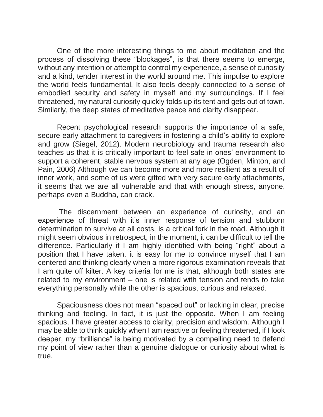One of the more interesting things to me about meditation and the process of dissolving these "blockages", is that there seems to emerge, without any intention or attempt to control my experience, a sense of curiosity and a kind, tender interest in the world around me. This impulse to explore the world feels fundamental. It also feels deeply connected to a sense of embodied security and safety in myself and my surroundings. If I feel threatened, my natural curiosity quickly folds up its tent and gets out of town. Similarly, the deep states of meditative peace and clarity disappear.

Recent psychological research supports the importance of a safe, secure early attachment to caregivers in fostering a child's ability to explore and grow (Siegel, 2012). Modern neurobiology and trauma research also teaches us that it is critically important to feel safe in ones' environment to support a coherent, stable nervous system at any age (Ogden, Minton, and Pain, 2006) Although we can become more and more resilient as a result of inner work, and some of us were gifted with very secure early attachments, it seems that we are all vulnerable and that with enough stress, anyone, perhaps even a Buddha, can crack.

The discernment between an experience of curiosity, and an experience of threat with it's inner response of tension and stubborn determination to survive at all costs, is a critical fork in the road. Although it might seem obvious in retrospect, in the moment, it can be difficult to tell the difference. Particularly if I am highly identified with being "right" about a position that I have taken, it is easy for me to convince myself that I am centered and thinking clearly when a more rigorous examination reveals that I am quite off kilter. A key criteria for me is that, although both states are related to my environment – one is related with tension and tends to take everything personally while the other is spacious, curious and relaxed.

Spaciousness does not mean "spaced out" or lacking in clear, precise thinking and feeling. In fact, it is just the opposite. When I am feeling spacious, I have greater access to clarity, precision and wisdom. Although I may be able to think quickly when I am reactive or feeling threatened, if I look deeper, my "brilliance" is being motivated by a compelling need to defend my point of view rather than a genuine dialogue or curiosity about what is true.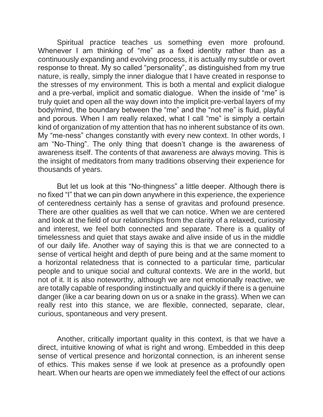Spiritual practice teaches us something even more profound. Whenever I am thinking of "me" as a fixed identity rather than as a continuously expanding and evolving process, it is actually my subtle or overt response to threat. My so called "personality", as distinguished from my true nature, is really, simply the inner dialogue that I have created in response to the stresses of my environment. This is both a mental and explicit dialogue and a pre-verbal, implicit and somatic dialogue. When the inside of "me" is truly quiet and open all the way down into the implicit pre-verbal layers of my body/mind, the boundary between the "me" and the "not me" is fluid, playful and porous. When I am really relaxed, what I call "me" is simply a certain kind of organization of my attention that has no inherent substance of its own. My "me-ness" changes constantly with every new context. In other words, I am "No-Thing". The only thing that doesn't change is the awareness of awareness itself. The contents of that awareness are always moving. This is the insight of meditators from many traditions observing their experience for thousands of years.

But let us look at this "No-thingness" a little deeper. Although there is no fixed "I" that we can pin down anywhere in this experience, the experience of centeredness certainly has a sense of gravitas and profound presence. There are other qualities as well that we can notice. When we are centered and look at the field of our relationships from the clarity of a relaxed, curiosity and interest, we feel both connected and separate. There is a quality of timelessness and quiet that stays awake and alive inside of us in the middle of our daily life. Another way of saying this is that we are connected to a sense of vertical height and depth of pure being and at the same moment to a horizontal relatedness that is connected to a particular time, particular people and to unique social and cultural contexts. We are in the world, but not of it. It is also noteworthy, although we are not emotionally reactive, we are totally capable of responding instinctually and quickly if there is a genuine danger (like a car bearing down on us or a snake in the grass). When we can really rest into this stance, we are flexible, connected, separate, clear, curious, spontaneous and very present.

Another, critically important quality in this context, is that we have a direct, intuitive knowing of what is right and wrong. Embedded in this deep sense of vertical presence and horizontal connection, is an inherent sense of ethics. This makes sense if we look at presence as a profoundly open heart. When our hearts are open we immediately feel the effect of our actions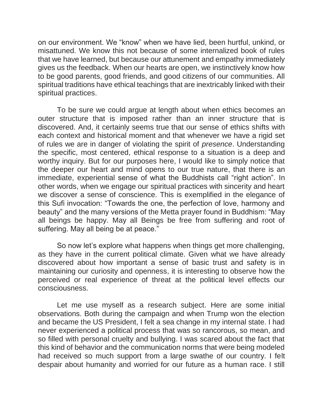on our environment. We "know" when we have lied, been hurtful, unkind, or misattuned. We know this not because of some internalized book of rules that we have learned, but because our attunement and empathy immediately gives us the feedback. When our hearts are open, we instinctively know how to be good parents, good friends, and good citizens of our communities. All spiritual traditions have ethical teachings that are inextricably linked with their spiritual practices.

To be sure we could argue at length about when ethics becomes an outer structure that is imposed rather than an inner structure that is discovered. And, it certainly seems true that our sense of ethics shifts with each context and historical moment and that whenever we have a rigid set of rules we are in danger of violating the spirit of *presence*. Understanding the specific, most centered, ethical response to a situation is a deep and worthy inquiry. But for our purposes here, I would like to simply notice that the deeper our heart and mind opens to our true nature, that there is an immediate, experiential sense of what the Buddhists call "right action". In other words, when we engage our spiritual practices with sincerity and heart we discover a sense of conscience. This is exemplified in the elegance of this Sufi invocation: "Towards the one, the perfection of love, harmony and beauty" and the many versions of the Metta prayer found in Buddhism: "May all beings be happy. May all Beings be free from suffering and root of suffering. May all being be at peace."

So now let's explore what happens when things get more challenging, as they have in the current political climate. Given what we have already discovered about how important a sense of basic trust and safety is in maintaining our curiosity and openness, it is interesting to observe how the perceived or real experience of threat at the political level effects our consciousness.

Let me use myself as a research subject. Here are some initial observations. Both during the campaign and when Trump won the election and became the US President, I felt a sea change in my internal state. I had never experienced a political process that was so rancorous, so mean, and so filled with personal cruelty and bullying. I was scared about the fact that this kind of behavior and the communication norms that were being modeled had received so much support from a large swathe of our country. I felt despair about humanity and worried for our future as a human race. I still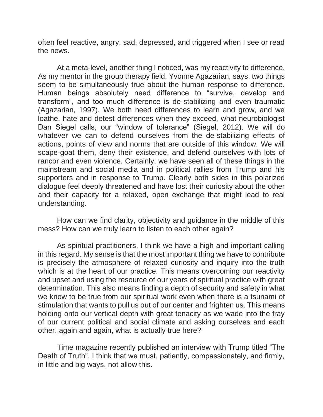often feel reactive, angry, sad, depressed, and triggered when I see or read the news.

At a meta-level, another thing I noticed, was my reactivity to difference. As my mentor in the group therapy field, Yvonne Agazarian, says, two things seem to be simultaneously true about the human response to difference. Human beings absolutely need difference to "survive, develop and transform", and too much difference is de-stabilizing and even traumatic (Agazarian, 1997). We both need differences to learn and grow, and we loathe, hate and detest differences when they exceed, what neurobiologist Dan Siegel calls, our "window of tolerance" (Siegel, 2012). We will do whatever we can to defend ourselves from the de-stabilizing effects of actions, points of view and norms that are outside of this window. We will scape-goat them, deny their existence, and defend ourselves with lots of rancor and even violence. Certainly, we have seen all of these things in the mainstream and social media and in political rallies from Trump and his supporters and in response to Trump. Clearly both sides in this polarized dialogue feel deeply threatened and have lost their curiosity about the other and their capacity for a relaxed, open exchange that might lead to real understanding.

How can we find clarity, objectivity and guidance in the middle of this mess? How can we truly learn to listen to each other again?

As spiritual practitioners, I think we have a high and important calling in this regard. My sense is that the most important thing we have to contribute is precisely the atmosphere of relaxed curiosity and inquiry into the truth which is at the heart of our practice. This means overcoming our reactivity and upset and using the resource of our years of spiritual practice with great determination. This also means finding a depth of security and safety in what we know to be true from our spiritual work even when there is a tsunami of stimulation that wants to pull us out of our center and frighten us. This means holding onto our vertical depth with great tenacity as we wade into the fray of our current political and social climate and asking ourselves and each other, again and again, what is actually true here?

Time magazine recently published an interview with Trump titled "The Death of Truth". I think that we must, patiently, compassionately, and firmly, in little and big ways, not allow this.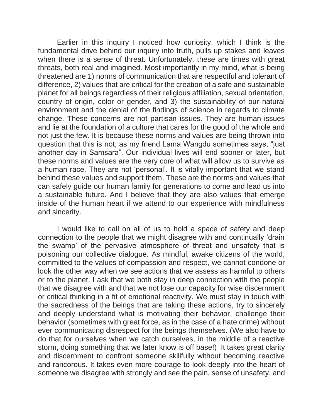Earlier in this inquiry I noticed how curiosity, which I think is the fundamental drive behind our inquiry into truth, pulls up stakes and leaves when there is a sense of threat. Unfortunately, these are times with great threats, both real and imagined. Most importantly in my mind, what is being threatened are 1) norms of communication that are respectful and tolerant of difference, 2) values that are critical for the creation of a safe and sustainable planet for all beings regardless of their religious affiliation, sexual orientation, country of origin, color or gender, and 3) the sustainability of our natural environment and the denial of the findings of science in regards to climate change. These concerns are not partisan issues. They are human issues and lie at the foundation of a culture that cares for the good of the whole and not just the few. It is because these norms and values are being thrown into question that this is not, as my friend Lama Wangdu sometimes says, "just another day in Samsara". Our individual lives will end sooner or later, but these norms and values are the very core of what will allow us to survive as a human race. They are not 'personal'. It is vitally important that we stand behind these values and support them. These are the norms and values that can safely guide our human family for generations to come and lead us into a sustainable future. And I believe that they are also values that emerge inside of the human heart if we attend to our experience with mindfulness and sincerity.

I would like to call on all of us to hold a space of safety and deep connection to the people that we might disagree with and continually 'drain the swamp' of the pervasive atmosphere of threat and unsafety that is poisoning our collective dialogue. As mindful, awake citizens of the world, committed to the values of compassion and respect, we cannot condone or look the other way when we see actions that we assess as harmful to others or to the planet. I ask that we both stay in deep connection with the people that we disagree with and that we not lose our capacity for wise discernment or critical thinking in a fit of emotional reactivity. We must stay in touch with the sacredness of the beings that are taking these actions, try to sincerely and deeply understand what is motivating their behavior, challenge their behavior (sometimes with great force, as in the case of a hate crime) without ever communicating disrespect for the beings themselves. (We also have to do that for ourselves when we catch ourselves, in the middle of a reactive storm, doing something that we later know is off base!) It takes great clarity and discernment to confront someone skillfully without becoming reactive and rancorous. It takes even more courage to look deeply into the heart of someone we disagree with strongly and see the pain, sense of unsafety, and